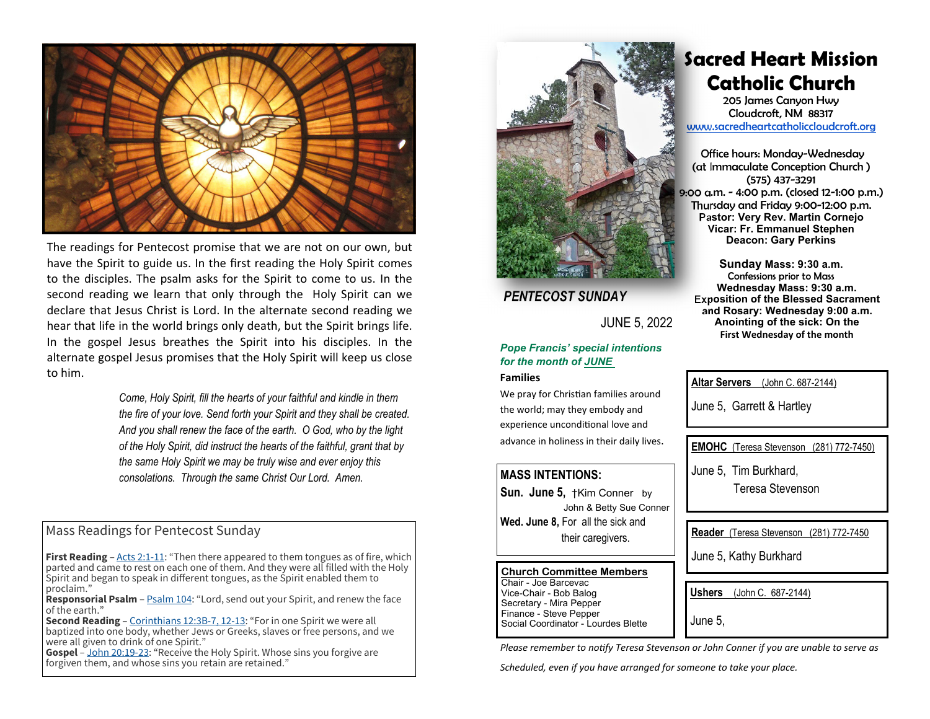

The readings for Pentecost promise that we are not on our own, but have the Spirit to guide us. In the first reading the Holy Spirit comes to the disciples. The psalm asks for the Spirit to come to us. In the second reading we learn that only through the Holy Spirit can we declare that Jesus Christ is Lord. In the alternate second reading we hear that life in the world brings only death, but the Spirit brings life. In the gospel Jesus breathes the Spirit into his disciples. In the alternate gospel Jesus promises that the Holy Spirit will keep us close to him.

> *Come, Holy Spirit, fill the hearts of your faithful and kindle in them the fire of your love. Send forth your Spirit and they shall be created. And you shall renew the face of the earth. O God, who by the light of the Holy Spirit, did instruct the hearts of the faithful, grant that by the same Holy Spirit we may be truly wise and ever enjoy this consolations. Through the same Christ Our Lord. Amen.*

# Mass Readings for Pentecost Sunday

**First Reading** – Acts 2:1-11: "Then there appeared to them tongues as of fire, which parted and came to rest on each one of them. And they were all filled with the Holy Spirit and began to speak in different tongues, as the Spirit enabled them to proclaim."

**Responsorial Psalm** – **Psalm 104:** "Lord, send out your Spirit, and renew the face of the earth."

 **Second Reading** – Corinthians 12:3B-7, 12-13: "For in one Spirit we were all baptized into one body, whether Jews or Greeks, slaves or free persons, and we were all given to drink of one Spirit."

**Gospel** – John 20:19-23: "Receive the Holy Spirit. Whose sins you forgive are forgiven them, and whose sins you retain are retained."



# *PENTECOST SUNDAY*

JUNE 5, 2022

## *Pope Francis' special intentions for the month of JUNE*

#### **Families**

We pray for Christian families around the world; may they embody and experience unconditional love and advance in holiness in their daily lives.

## **MASS INTENTIONS:**

**Sun. June 5,** †Kim Conner by John & Betty Sue Conner **Wed. June 8,** For all the sick and their caregivers.

## **Church Committee Members** Chair - Joe BarcevacVice-Chair - Bob Balog Secretary - Mira Pepper

Finance - Steve Pepper Social Coordinator - Lourdes Blette

# **Sacred Heart Mission Catholic Church**

205 James Canyon Hwy Cloudcroft, NM 88317 www.sacredheartcatholiccloudcroft.org

Office hours: Monday-Wednesday (at Immaculate Conception Church ) (575) 437-3291 9:00 a.m. - 4:00 p.m. (closed 12-1:00 p.m.) Thursday and Friday 9:00-12:00 p.m. **Pastor: Very Rev. Martin Cornejo Vicar: Fr. Emmanuel Stephen Deacon: Gary Perkins** 

**Sunday Mass: 9:30 a.m.**  Confessions prior to Mass **Wednesday Mass: 9:30 a.m. Exposition of the Blessed Sacrament and Rosary: Wednesday 9:00 a.m. Anointing of the sick: On the First Wednesday of the month** 

**Altar Servers** (John C. 687-2144)

June 5, Garrett & Hartley

**EMOHC** (Teresa Stevenson (281) 772-7450)

June 5, Tim Burkhard,

Teresa Stevenson

**Reader** (Teresa Stevenson (281) 772-7450

June 5, Kathy Burkhard

**Ushers** (John C. 687-2144)

June 5,

*Please remember to notify Teresa Stevenson or John Conner if you are unable to serve as* 

*Scheduled, even if you have arranged for someone to take your place.*